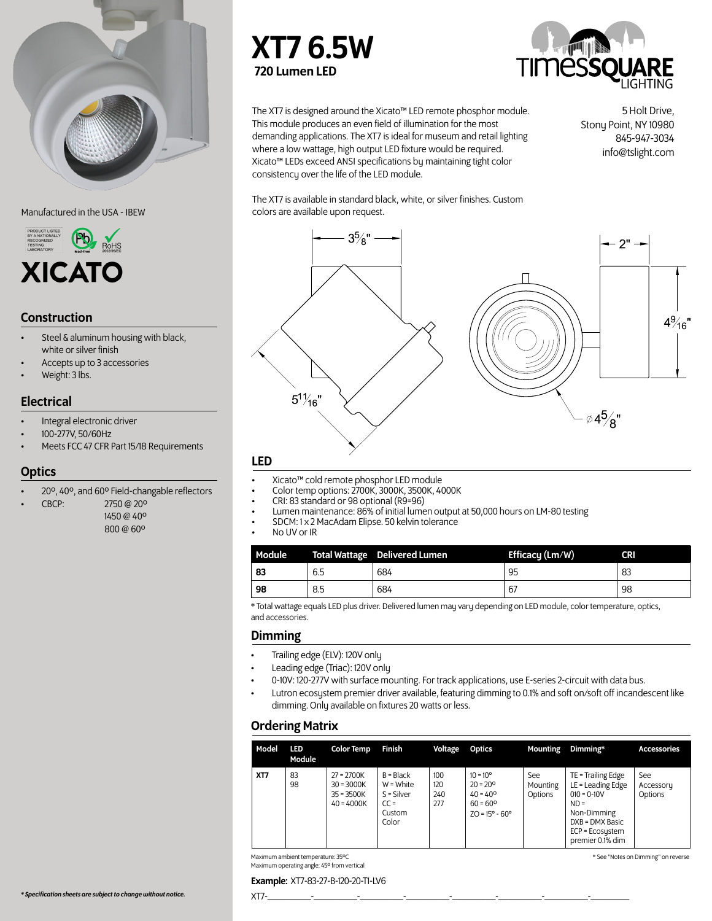

Manufactured in the USA - IBEW



# Construction

- Steel & aluminum housing with black, white or silver finish
- Accepts up to 3 accessories
- Weight: 3 lbs.

# **Electrical**

- Integral electronic driver
- 100-277V, 50/60Hz
- Meets FCC 47 CFR Part 15/18 Requirements

### **Optics**

- 20º, 40º, and 60º Field-changable reflectors
- CBCP: 2750 @ 20º
	- 1450 @ 40º 800 @ 60º





The XT7 is designed around the Xicato™ LED remote phosphor module. This module produces an even field of illumination for the most demanding applications. The XT7 is ideal for museum and retail lighting where a low wattage, high output LED fixture would be required. Xicato™ LEDs exceed ANSI specifications by maintaining tight color consistency over the life of the LED module.

5 Holt Drive, Stony Point, NY 10980 845-947-3034 info@tslight.com

The XT7 is available in standard black, white, or silver finishes. Custom colors are available upon request.



# LED

- 
- 
- 
- Xicato™ cold remote phosphor LED module<br>Color temp options: 2700K, 3000K, 3500K, 4000K<br>CRI: 83 standard or 98 optional (R9=96)<br>Lumen maintenance: 86% of initial lumen output at 50,000 hours on LM-80 testing<br>SDCM: 1 x 2 Ma
- 
- 

| Module |     | <b>Total Wattage</b> Delivered Lumen | Efficacy (Lm/W) | <b>CRI</b> |
|--------|-----|--------------------------------------|-----------------|------------|
| 83     | 6.5 | 684                                  | 95              | 83         |
| 98     | 8.5 | 684                                  | 67              | 98         |

\* Total wattage equals LED plus driver. Delivered lumen may vary depending on LED module, color temperature, optics, and accessories.

### Dimming

- Trailing edge (ELV): 120V only
- Leading edge (Triac): 120V only
- 0-10V: 120-277V with surface mounting. For track applications, use E-series 2-circuit with data bus.
- Lutron ecosystem premier driver available, featuring dimming to 0.1% and soft on/soft off incandescent like dimming. Only available on fixtures 20 watts or less.

# Ordering Matrix

| Model                                                                    | LED<br>Module | <b>Color Temp</b>                                            | Finish                                                                  | Voltage                  | <b>Optics</b>                                                                                                      | Mounting                    | Dimming*                                                                                                                                      | <b>Accessories</b>          |
|--------------------------------------------------------------------------|---------------|--------------------------------------------------------------|-------------------------------------------------------------------------|--------------------------|--------------------------------------------------------------------------------------------------------------------|-----------------------------|-----------------------------------------------------------------------------------------------------------------------------------------------|-----------------------------|
| XT7                                                                      | 83<br>98      | $27 = 2700K$<br>$30 = 3000K$<br>$35 = 3500K$<br>$40 = 4000K$ | $B = Black$<br>$W = White$<br>$S = Silver$<br>$CC =$<br>Custom<br>Color | 100<br>120<br>240<br>277 | $10 = 10^{\circ}$<br>$20 = 20^{\circ}$<br>$40 = 40^{\circ}$<br>$60 = 60^{\circ}$<br>$ZO = 15^{\circ} - 60^{\circ}$ | See:<br>Mounting<br>Options | TE = Trailing Edge<br>LE = Leading Edge<br>$010 = 0 - 10V$<br>$ND =$<br>Non-Dimming<br>DXB = DMX Basic<br>ECP = Ecosystem<br>premier 0.1% dim | See<br>Accessory<br>Options |
| Maximum ambient temperature: 35°C<br>* See "Notes on Dimming" on reverse |               |                                                              |                                                                         |                          |                                                                                                                    |                             |                                                                                                                                               |                             |

Maximum ambient temperature: 35ºC Maximum operating angle: 45º from vertical

#### Example: XT7-83-27-B-120-20-T1-LV6